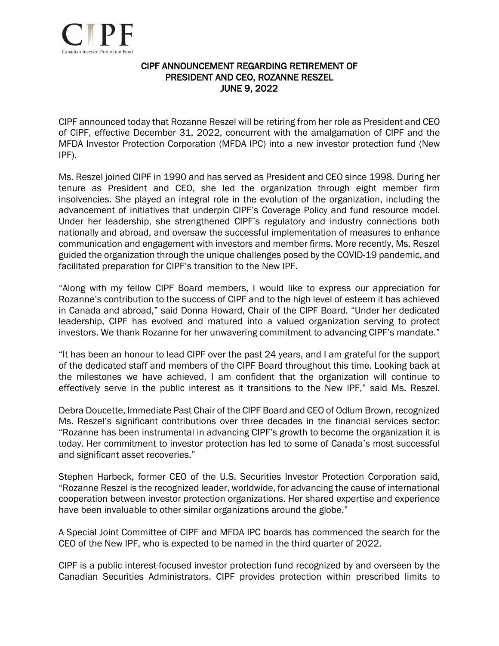

## CIPF ANNOUNCEMENT REGARDING RETIREMENT OF PRESIDENT AND CEO, ROZANNE RESZEL JUNE 9, 2022

CIPF announced today that Rozanne Reszel will be retiring from her role as President and CEO of CIPF, effective December 31, 2022, concurrent with the amalgamation of CIPF and the MFDA Investor Protection Corporation (MFDA IPC) into a new investor protection fund (New IPF).

Ms. Reszel joined CIPF in 1990 and has served as President and CEO since 1998. During her tenure as President and CEO, she led the organization through eight member firm insolvencies. She played an integral role in the evolution of the organization, including the advancement of initiatives that underpin CIPF's Coverage Policy and fund resource model. Under her leadership, she strengthened CIPF's regulatory and industry connections both nationally and abroad, and oversaw the successful implementation of measures to enhance communication and engagement with investors and member firms. More recently, Ms. Reszel guided the organization through the unique challenges posed by the COVID-19 pandemic, and facilitated preparation for CIPF's transition to the New IPF.

"Along with my fellow CIPF Board members, I would like to express our appreciation for Rozanne's contribution to the success of CIPF and to the high level of esteem it has achieved in Canada and abroad," said Donna Howard, Chair of the CIPF Board. "Under her dedicated leadership, CIPF has evolved and matured into a valued organization serving to protect investors. We thank Rozanne for her unwavering commitment to advancing CIPF's mandate."

"It has been an honour to lead CIPF over the past 24 years, and I am grateful for the support of the dedicated staff and members of the CIPF Board throughout this time. Looking back at the milestones we have achieved, I am confident that the organization will continue to effectively serve in the public interest as it transitions to the New IPF," said Ms. Reszel.

Debra Doucette, Immediate Past Chair of the CIPF Board and CEO of Odlum Brown, recognized Ms. Reszel's significant contributions over three decades in the financial services sector: "Rozanne has been instrumental in advancing CIPF's growth to become the organization it is today. Her commitment to investor protection has led to some of Canada's most successful and significant asset recoveries."

Stephen Harbeck, former CEO of the U.S. Securities Investor Protection Corporation said, "Rozanne Reszel is the recognized leader, worldwide, for advancing the cause of international cooperation between investor protection organizations. Her shared expertise and experience have been invaluable to other similar organizations around the globe."

A Special Joint Committee of CIPF and MFDA IPC boards has commenced the search for the CEO of the New IPF, who is expected to be named in the third quarter of 2022.

CIPF is a public interest-focused investor protection fund recognized by and overseen by the Canadian Securities Administrators. CIPF provides protection within prescribed limits to